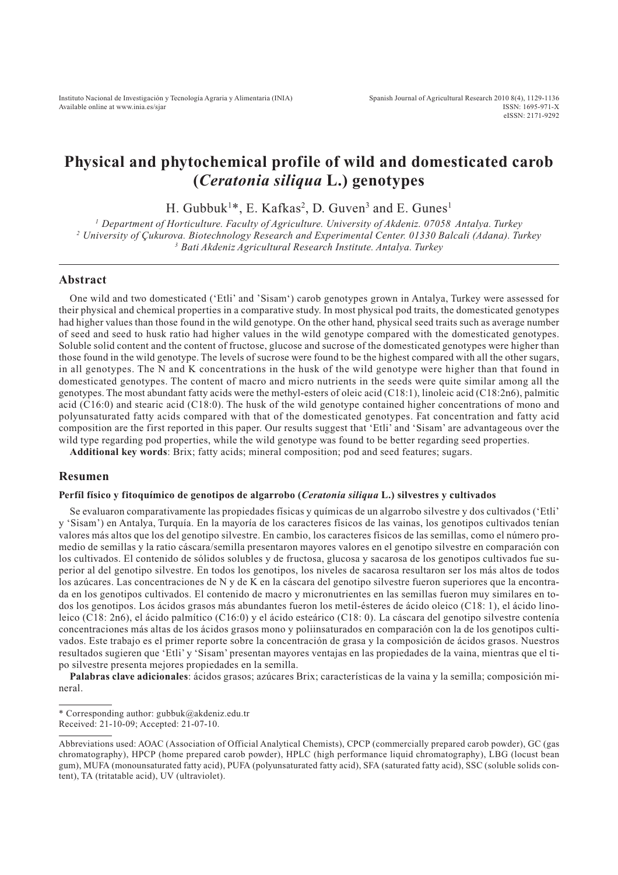# **Physical and phytochemical profile of wild and domesticated carob (***Ceratonia siliqua* **L.) genotypes**

H. Gubbuk<sup>1\*</sup>, E. Kafkas<sup>2</sup>, D. Guven<sup>3</sup> and E. Gunes<sup>1</sup>

*1 Department of Horticulture. Faculty of Agriculture. University of Akdeniz. 07058 Antalya. Turkey 2 University of Çukurova. Biotechnology Research and Experimental Center. 01330 Balcali (Adana). Turkey 3 Bati Akdeniz Agricultural Research Institute. Antalya. Turkey*

#### **Abstract**

One wild and two domesticated ('Etli' and 'Sisam') carob genotypes grown in Antalya, Turkey were assessed for their physical and chemical properties in a comparative study. In most physical pod traits, the domesticated genotypes had higher values than those found in the wild genotype. On the other hand, physical seed traits such as average number of seed and seed to husk ratio had higher values in the wild genotype compared with the domesticated genotypes. Soluble solid content and the content of fructose, glucose and sucrose of the domesticated genotypes were higher than those found in the wild genotype. The levels of sucrose were found to be the highest compared with all the other sugars, in all genotypes. The N and K concentrations in the husk of the wild genotype were higher than that found in domesticated genotypes. The content of macro and micro nutrients in the seeds were quite similar among all the genotypes. The most abundant fatty acids were the methyl-esters of oleic acid (C18:1), linoleic acid (C18:2n6), palmitic acid (C16:0) and stearic acid (C18:0). The husk of the wild genotype contained higher concentrations of mono and polyunsaturated fatty acids compared with that of the domesticated genotypes. Fat concentration and fatty acid composition are the first reported in this paper. Our results suggest that 'Etli' and 'Sisam' are advantageous over the wild type regarding pod properties, while the wild genotype was found to be better regarding seed properties.

**Additional key words**: Brix; fatty acids; mineral composition; pod and seed features; sugars.

#### **Resumen**

#### **Perfíl físico y fitoquímico de genotipos de algarrobo (***Ceratonia siliqua* **L.) silvestres y cultivados**

Se evaluaron comparativamente las propiedades físicas y químicas de un algarrobo silvestre y dos cultivados ('Etli' y 'Sisam') en Antalya, Turquía. En la mayoría de los caracteres físicos de las vainas, los genotipos cultivados tenían valores más altos que los del genotipo silvestre. En cambio, los caracteres físicos de las semillas, como el número promedio de semillas y la ratio cáscara/semilla presentaron mayores valores en el genotipo silvestre en comparación con los cultivados. El contenido de sólidos solubles y de fructosa, glucosa y sacarosa de los genotipos cultivados fue superior al del genotipo silvestre. En todos los genotipos, los niveles de sacarosa resultaron ser los más altos de todos los azúcares. Las concentraciones de N y de K en la cáscara del genotipo silvestre fueron superiores que la encontrada en los genotipos cultivados. El contenido de macro y micronutrientes en las semillas fueron muy similares en todos los genotipos. Los ácidos grasos más abundantes fueron los metil-ésteres de ácido oleico (C18: 1), el ácido linoleico (C18: 2n6), el ácido palmítico (C16:0) y el ácido esteárico (C18: 0). La cáscara del genotipo silvestre contenía concentraciones más altas de los ácidos grasos mono y poliinsaturados en comparación con la de los genotipos cultivados. Este trabajo es el primer reporte sobre la concentración de grasa y la composición de ácidos grasos. Nuestros resultados sugieren que 'Etli' y 'Sisam' presentan mayores ventajas en las propiedades de la vaina, mientras que el tipo silvestre presenta mejores propiedades en la semilla.

**Palabras clave adicionales**: ácidos grasos; azúcares Brix; características de la vaina y la semilla; composición mineral.

<sup>\*</sup> Corresponding author: gubbuk@akdeniz.edu.tr

Received: 21-10-09; Accepted: 21-07-10.

Abbreviations used: AOAC (Association of Official Analytical Chemists), CPCP (commercially prepared carob powder), GC (gas chromatography), HPCP (home prepared carob powder), HPLC (high performance liquid chromatography), LBG (locust bean gum), MUFA (monounsaturated fatty acid), PUFA (polyunsaturated fatty acid), SFA (saturated fatty acid), SSC (soluble solids content), TA (tritatable acid), UV (ultraviolet).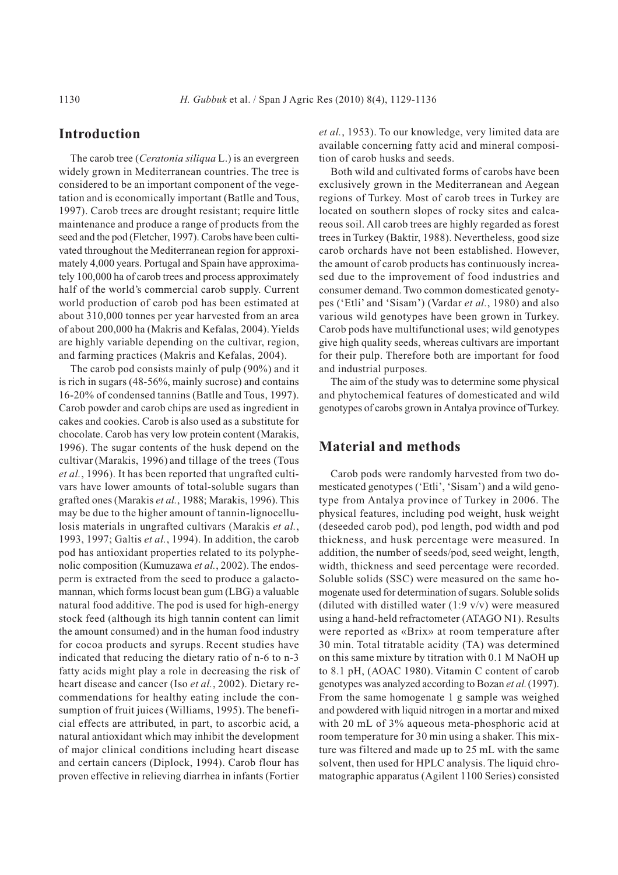# **Introduction**

The carob tree (*Ceratonia siliqua* L.) is an evergreen widely grown in Mediterranean countries. The tree is considered to be an important component of the vegetation and is economically important (Batlle and Tous, 1997). Carob trees are drought resistant; require little maintenance and produce a range of products from the seed and the pod (Fletcher, 1997). Carobs have been cultivated throughout the Mediterranean region for approximately 4,000 years. Portugal and Spain have approximately 100,000 ha of carob trees and process approximately half of the world's commercial carob supply. Current world production of carob pod has been estimated at about 310,000 tonnes per year harvested from an area of about 200,000 ha (Makris and Kefalas, 2004). Yields are highly variable depending on the cultivar, region, and farming practices (Makris and Kefalas, 2004).

The carob pod consists mainly of pulp (90%) and it is rich in sugars (48-56%, mainly sucrose) and contains 16-20% of condensed tannins (Batlle and Tous, 1997). Carob powder and carob chips are used as ingredient in cakes and cookies. Carob is also used as a substitute for chocolate. Carob has very low protein content (Marakis, 1996). The sugar contents of the husk depend on the cultivar (Marakis, 1996) and tillage of the trees (Tous *et al.*, 1996). It has been reported that ungrafted cultivars have lower amounts of total-soluble sugars than grafted ones (Marakis *et al.*, 1988; Marakis, 1996). This may be due to the higher amount of tannin-lignocellulosis materials in ungrafted cultivars (Marakis *et al.*, 1993, 1997; Galtis *et al.*, 1994). In addition, the carob pod has antioxidant properties related to its polyphenolic composition (Kumuzawa et al., 2002). The endosperm is extracted from the seed to produce a galactomannan, which forms locust bean gum (LBG) a valuable natural food additive. The pod is used for high-energy stock feed (although its high tannin content can limit the amount consumed) and in the human food industry for cocoa products and syrups. Recent studies have indicated that reducing the dietary ratio of n-6 to n-3 fatty acids might play a role in decreasing the risk of heart disease and cancer (Iso *et al.*, 2002). Dietary recommendations for healthy eating include the consumption of fruit juices (Williams, 1995). The beneficial effects are attributed, in part, to ascorbic acid, a natural antioxidant which may inhibit the development of major clinical conditions including heart disease and certain cancers (Diplock, 1994). Carob flour has proven effective in relieving diarrhea in infants (Fortier

*et al.*, 1953). To our knowledge, very limited data are available concerning fatty acid and mineral composition of carob husks and seeds.

Both wild and cultivated forms of carobs have been exclusively grown in the Mediterranean and Aegean regions of Turkey. Most of carob trees in Turkey are located on southern slopes of rocky sites and calcareous soil. All carob trees are highly regarded as forest trees in Turkey (Baktir, 1988). Nevertheless, good size carob orchards have not been established. However, the amount of carob products has continuously increased due to the improvement of food industries and consumer demand. Two common domesticated genotypes ('Etli' and 'Sisam') (Vardar *et al.*, 1980) and also various wild genotypes have been grown in Turkey. Carob pods have multifunctional uses; wild genotypes give high quality seeds, whereas cultivars are important for their pulp. Therefore both are important for food and industrial purposes.

The aim of the study was to determine some physical and phytochemical features of domesticated and wild genotypes of carobs grown in Antalya province of Turkey.

# **Material and methods**

Carob pods were randomly harvested from two domesticated genotypes ('Etli', 'Sisam') and a wild genotype from Antalya province of Turkey in 2006. The physical features, including pod weight, husk weight (deseeded carob pod), pod length, pod width and pod thickness, and husk percentage were measured. In addition, the number of seeds/pod, seed weight, length, width, thickness and seed percentage were recorded. Soluble solids (SSC) were measured on the same homogenate used for determination of sugars. Soluble solids (diluted with distilled water  $(1:9 \text{ v/v})$  were measured using a hand-held refractometer (ATAGO N1). Results were reported as «Brix» at room temperature after 30 min. Total titratable acidity (TA) was determined on this same mixture by titration with 0.1 M NaOH up to 8.1 pH, (AOAC 1980). Vitamin C content of carob genotypes was analyzed according to Bozan *et al.*(1997). From the same homogenate 1 g sample was weighed and powdered with liquid nitrogen in a mortar and mixed with 20 mL of 3% aqueous meta-phosphoric acid at room temperature for 30 min using a shaker. This mixture was filtered and made up to 25 mL with the same solvent, then used for HPLC analysis. The liquid chromatographic apparatus (Agilent 1100 Series) consisted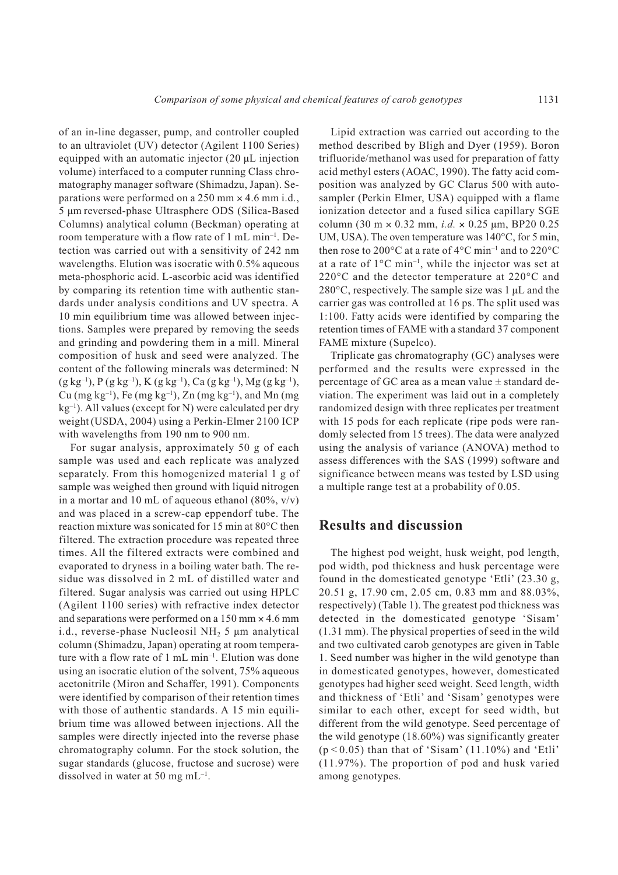of an in-line degasser, pump, and controller coupled to an ultraviolet (UV) detector (Agilent 1100 Series) equipped with an automatic injector (20 µL injection volume) interfaced to a computer running Class chromatography manager software (Shimadzu, Japan). Separations were performed on a 250 mm × 4.6 mm i.d., 5 µm reversed-phase Ultrasphere ODS (Silica-Based Columns) analytical column (Beckman) operating at room temperature with a flow rate of 1 mL min–1. Detection was carried out with a sensitivity of 242 nm wavelengths. Elution was isocratic with 0.5% aqueous meta-phosphoric acid. L-ascorbic acid was identified by comparing its retention time with authentic standards under analysis conditions and UV spectra. A 10 min equilibrium time was allowed between injections. Samples were prepared by removing the seeds and grinding and powdering them in a mill. Mineral composition of husk and seed were analyzed. The content of the following minerals was determined: N  $(g \ kg^{-1})$ ,  $P(g \ kg^{-1})$ ,  $K(g \ kg^{-1})$ ,  $Ca (g \ kg^{-1})$ ,  $Mg (g \ kg^{-1})$ , Cu (mg kg<sup>-1</sup>), Fe (mg kg<sup>-1</sup>), Zn (mg kg<sup>-1</sup>), and Mn (mg  $kg^{-1}$ ). All values (except for N) were calculated per dry weight (USDA, 2004) using a Perkin-Elmer 2100 ICP with wavelengths from 190 nm to 900 nm.

For sugar analysis, approximately 50 g of each sample was used and each replicate was analyzed separately. From this homogenized material 1 g of sample was weighed then ground with liquid nitrogen in a mortar and 10 mL of aqueous ethanol (80%,  $v/v$ ) and was placed in a screw-cap eppendorf tube. The reaction mixture was sonicated for 15 min at 80°C then filtered. The extraction procedure was repeated three times. All the filtered extracts were combined and evaporated to dryness in a boiling water bath. The residue was dissolved in 2 mL of distilled water and filtered. Sugar analysis was carried out using HPLC (Agilent 1100 series) with refractive index detector and separations were performed on a 150 mm × 4.6 mm i.d., reverse-phase Nucleosil  $NH<sub>2</sub> 5 \mu m$  analytical column (Shimadzu, Japan) operating at room temperature with a flow rate of 1 mL min–1. Elution was done using an isocratic elution of the solvent, 75% aqueous acetonitrile (Miron and Schaffer, 1991). Components were identified by comparison of their retention times with those of authentic standards. A 15 min equilibrium time was allowed between injections. All the samples were directly injected into the reverse phase chromatography column. For the stock solution, the sugar standards (glucose, fructose and sucrose) were dissolved in water at 50 mg  $mL^{-1}$ .

Lipid extraction was carried out according to the method described by Bligh and Dyer (1959). Boron trifluoride/methanol was used for preparation of fatty acid methyl esters (AOAC, 1990). The fatty acid composition was analyzed by GC Clarus 500 with autosampler (Perkin Elmer, USA) equipped with a flame ionization detector and a fused silica capillary SGE column  $(30 \text{ m} \times 0.32 \text{ mm}, i.d. \times 0.25 \text{ mm}, \text{BP20 0.25})$ UM, USA). The oven temperature was 140°C, for 5 min, then rose to 200 $\rm ^{\circ}C$  at a rate of 4 $\rm ^{\circ}C$  min<sup>-1</sup> and to 220 $\rm ^{\circ}C$ at a rate of  $1^{\circ}$ C min<sup>-1</sup>, while the injector was set at 220°C and the detector temperature at 220°C and 280 $\degree$ C, respectively. The sample size was 1 µL and the carrier gas was controlled at 16 ps. The split used was 1:100. Fatty acids were identified by comparing the retention times of FAME with a standard 37 component FAME mixture (Supelco).

Triplicate gas chromatography (GC) analyses were performed and the results were expressed in the percentage of GC area as a mean value  $\pm$  standard deviation. The experiment was laid out in a completely randomized design with three replicates per treatment with 15 pods for each replicate (ripe pods were randomly selected from 15 trees). The data were analyzed using the analysis of variance (ANOVA) method to assess differences with the SAS (1999) software and significance between means was tested by LSD using a multiple range test at a probability of 0.05.

### **Results and discussion**

The highest pod weight, husk weight, pod length, pod width, pod thickness and husk percentage were found in the domesticated genotype 'Etli' (23.30 g, 20.51 g, 17.90 cm, 2.05 cm, 0.83 mm and 88.03%, respectively) (Table 1). The greatest pod thickness was detected in the domesticated genotype 'Sisam' (1.31 mm). The physical properties of seed in the wild and two cultivated carob genotypes are given in Table 1. Seed number was higher in the wild genotype than in domesticated genotypes, however, domesticated genotypes had higher seed weight. Seed length, width and thickness of 'Etli' and 'Sisam' genotypes were similar to each other, except for seed width, but different from the wild genotype. Seed percentage of the wild genotype (18.60%) was significantly greater  $(p < 0.05)$  than that of 'Sisam'  $(11.10\%)$  and 'Etli' (11.97%). The proportion of pod and husk varied among genotypes.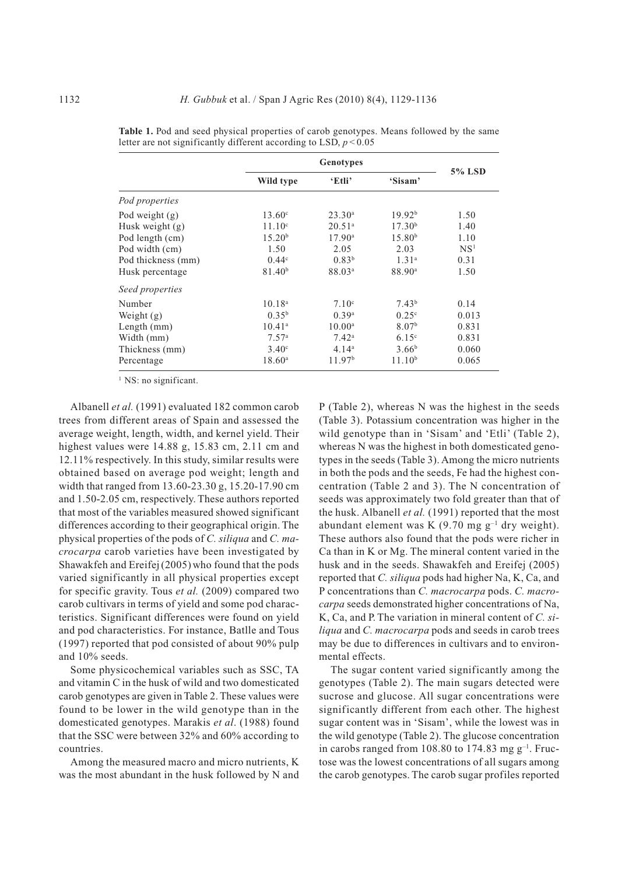|                    | <b>Genotypes</b>   |                    |                    |                 |
|--------------------|--------------------|--------------------|--------------------|-----------------|
|                    | Wild type          | 'Etli              | 'Sisam'            | <b>5% LSD</b>   |
| Pod properties     |                    |                    |                    |                 |
| Pod weight (g)     | $13.60^{\circ}$    | $23.30^{\rm a}$    | 19.92 <sup>b</sup> | 1.50            |
| Husk weight (g)    | $11.10^c$          | $20.51^a$          | 17.30 <sup>b</sup> | 1.40            |
| Pod length (cm)    | 15.20 <sup>b</sup> | $17.90^{\circ}$    | 15.80 <sup>b</sup> | 1.10            |
| Pod width (cm)     | 1.50               | 2.05               | 2.03               | NS <sup>1</sup> |
| Pod thickness (mm) | 0.44 <sup>c</sup>  | 0.83 <sup>b</sup>  | 1.31 <sup>a</sup>  | 0.31            |
| Husk percentage    | 81.40 <sup>b</sup> | 88.03 <sup>a</sup> | 88.90 <sup>a</sup> | 1.50            |
| Seed properties    |                    |                    |                    |                 |
| Number             | $10.18^{a}$        | 7.10 <sup>c</sup>  | 7.43 <sup>b</sup>  | 0.14            |
| Weight $(g)$       | $0.35^{b}$         | 0.39 <sup>a</sup>  | $0.25^{\circ}$     | 0.013           |
| Length (mm)        | $10.41^a$          | $10.00^{\rm a}$    | 8.07 <sup>b</sup>  | 0.831           |
| Width (mm)         | 7.57 <sup>a</sup>  | $7.42^{\rm a}$     | 6.15 <sup>c</sup>  | 0.831           |
| Thickness (mm)     | $3.40^\circ$       | 4.14 <sup>a</sup>  | $3.66^{b}$         | 0.060           |
| Percentage         | $18.60^{\rm a}$    | 11.97 <sup>b</sup> | 11.10 <sup>b</sup> | 0.065           |

**Table 1.** Pod and seed physical properties of carob genotypes. Means followed by the same letter are not significantly different according to LSD,  $p < 0.05$ 

<sup>1</sup> NS: no significant.

Albanell *et al.* (1991) evaluated 182 common carob trees from different areas of Spain and assessed the average weight, length, width, and kernel yield. Their highest values were 14.88 g, 15.83 cm, 2.11 cm and 12.11% respectively. In this study, similar results were obtained based on average pod weight; length and width that ranged from 13.60-23.30 g, 15.20-17.90 cm and 1.50-2.05 cm, respectively. These authors reported that most of the variables measured showed significant differences according to their geographical origin. The physical properties of the pods of *C. siliqua* and *C. macrocarpa* carob varieties have been investigated by Shawakfeh and Ereifej (2005) who found that the pods varied significantly in all physical properties except for specific gravity. Tous *et al.* (2009) compared two carob cultivars in terms of yield and some pod characteristics. Significant differences were found on yield and pod characteristics. For instance, Batlle and Tous (1997) reported that pod consisted of about 90% pulp and 10% seeds.

Some physicochemical variables such as SSC, TA and vitamin C in the husk of wild and two domesticated carob genotypes are given in Table 2. These values were found to be lower in the wild genotype than in the domesticated genotypes. Marakis *et al*. (1988) found that the SSC were between 32% and 60% according to countries.

Among the measured macro and micro nutrients, K was the most abundant in the husk followed by N and

P (Table 2), whereas N was the highest in the seeds (Table 3). Potassium concentration was higher in the wild genotype than in 'Sisam' and 'Etli' (Table 2), whereas N was the highest in both domesticated genotypes in the seeds (Table 3). Among the micro nutrients in both the pods and the seeds, Fe had the highest concentration (Table 2 and 3). The N concentration of seeds was approximately two fold greater than that of the husk. Albanell *et al.* (1991) reported that the most abundant element was K  $(9.70 \text{ mg g}^{-1}$  dry weight). These authors also found that the pods were richer in Ca than in K or Mg. The mineral content varied in the husk and in the seeds. Shawakfeh and Ereifej (2005) reported that *C. siliqua* pods had higher Na, K, Ca, and P concentrations than *C. macrocarpa* pods. *C. macrocarpa* seeds demonstrated higher concentrations of Na, K, Ca, and P. The variation in mineral content of *C. siliqua* and *C. macrocarpa* pods and seeds in carob trees may be due to differences in cultivars and to environmental effects.

The sugar content varied significantly among the genotypes (Table 2). The main sugars detected were sucrose and glucose. All sugar concentrations were significantly different from each other. The highest sugar content was in 'Sisam', while the lowest was in the wild genotype (Table 2). The glucose concentration in carobs ranged from 108.80 to 174.83 mg  $g^{-1}$ . Fructose was the lowest concentrations of all sugars among the carob genotypes. The carob sugar profiles reported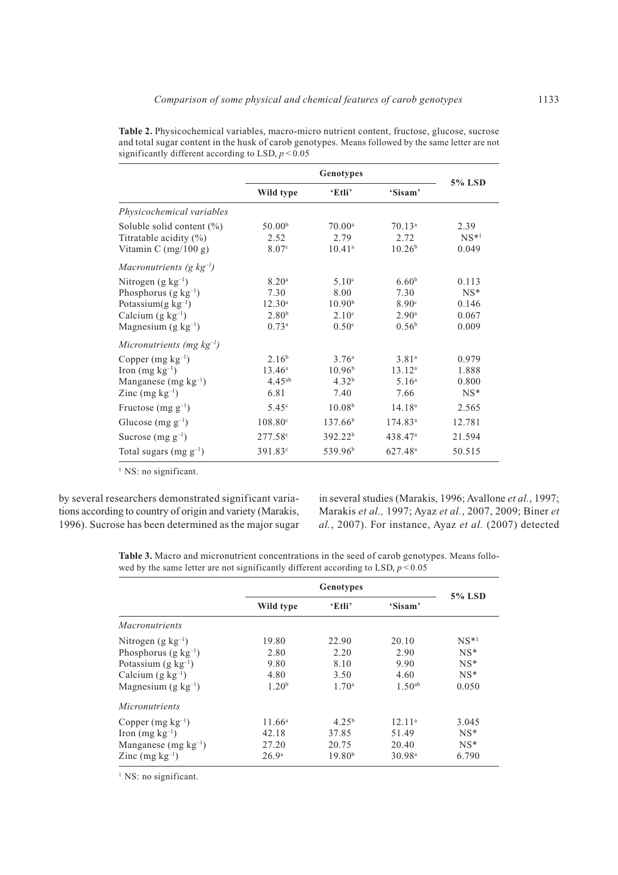|                                                                                                                                             | Genotypes                                                                              |                                                                                           |                                                                                       |                                            |  |
|---------------------------------------------------------------------------------------------------------------------------------------------|----------------------------------------------------------------------------------------|-------------------------------------------------------------------------------------------|---------------------------------------------------------------------------------------|--------------------------------------------|--|
|                                                                                                                                             | Wild type                                                                              | 'Etli'                                                                                    | 'Sisam'                                                                               | 5% LSD                                     |  |
| Physicochemical variables                                                                                                                   |                                                                                        |                                                                                           |                                                                                       |                                            |  |
| Soluble solid content (%)<br>Titratable acidity (%)<br>Vitamin C $(mg/100 g)$                                                               | 50.00 <sup>b</sup><br>2.52<br>8.07c                                                    | $70.00^a$<br>2.79<br>$10.41^{\circ}$                                                      | $70.13^a$<br>2.72<br>10.26 <sup>b</sup>                                               | 2.39<br>$NS*1$<br>0.049                    |  |
| Macronutrients (g $kg^{-1}$ )                                                                                                               |                                                                                        |                                                                                           |                                                                                       |                                            |  |
| Nitrogen $(g \ kg^{-1})$<br>Phosphorus $(g \ kg^{-1})$<br>Potassium $(g \ kg^{-1})$<br>Calcium $(g \ kg^{-1})$<br>Magnesium $(g \ kg^{-1})$ | 8.20 <sup>a</sup><br>7.30<br>12.30 <sup>a</sup><br>2.80 <sup>b</sup><br>$0.73^{\rm a}$ | 5.10 <sup>c</sup><br>8.00<br>10.90 <sup>b</sup><br>2.10 <sup>c</sup><br>0.50 <sup>c</sup> | 6.60 <sup>b</sup><br>7.30<br>8.90 <sup>c</sup><br>2.90 <sup>a</sup><br>$0.56^{\rm b}$ | 0.113<br>$NS^*$<br>0.146<br>0.067<br>0.009 |  |
| Micronutrients (mg $kg^{-1}$ )                                                                                                              |                                                                                        |                                                                                           |                                                                                       |                                            |  |
| Copper $(mg kg^{-1})$<br>Iron (mg $kg^{-1}$ )<br>Manganese $(mg kg^{-1})$<br>Zinc $(mg kg^{-1})$                                            | 2.16 <sup>b</sup><br>$13.46^{\circ}$<br>$4.45^{ab}$<br>6.81                            | 3.76 <sup>a</sup><br>10.96 <sup>b</sup><br>4.32 <sup>b</sup><br>7.40                      | 3.81a<br>$13.12^a$<br>5.16 <sup>a</sup><br>7.66                                       | 0.979<br>1.888<br>0.800<br>$NS^*$          |  |
| Fructose $(mg g^{-1})$                                                                                                                      | 5.45 <sup>c</sup>                                                                      | 10.08 <sup>b</sup>                                                                        | 14.18 <sup>a</sup>                                                                    | 2.565                                      |  |
| Glucose $(mg g^{-1})$<br>Sucrose $(mg g^{-1})$                                                                                              | $108.80^{\circ}$<br>$277.58$ °                                                         | 137.66 <sup>b</sup><br>392.22 <sup>b</sup>                                                | 174.83 <sup>a</sup><br>438.47 <sup>a</sup>                                            | 12.781<br>21.594                           |  |
| Total sugars (mg $g^{-1}$ )                                                                                                                 | $391.83^{\circ}$                                                                       | 539.96 <sup>b</sup>                                                                       | 627.48 <sup>a</sup>                                                                   | 50.515                                     |  |

**Table 2.** Physicochemical variables, macro-micro nutrient content, fructose, glucose, sucrose and total sugar content in the husk of carob genotypes. Means followed by the same letter are not significantly different according to LSD,  $p < 0.05$ 

<sup>1</sup> NS: no significant.

by several researchers demonstrated significant variations according to country of origin and variety (Marakis, 1996). Sucrose has been determined as the major sugar

in several studies (Marakis, 1996; Avallone *et al.*, 1997; Marakis *et al.,* 1997; Ayaz *et al.*, 2007, 2009; Biner *et al.*, 2007). For instance, Ayaz *et al.* (2007) detected

**Table 3.** Macro and micronutrient concentrations in the seed of carob genotypes. Means followed by the same letter are not significantly different according to LSD,  $p < 0.05$ 

|                            | <b>Genotypes</b>  |                    |                    |        |
|----------------------------|-------------------|--------------------|--------------------|--------|
|                            | Wild type         | 'Etli              | 'Sisam'            | 5% LSD |
| <i>Macronutrients</i>      |                   |                    |                    |        |
| Nitrogen (g $kg^{-1}$ )    | 19.80             | 22.90              | 20.10              | $NS*1$ |
| Phosphorus $(g \ kg^{-1})$ | 2.80              | 2.20               | 2.90               | $NS^*$ |
| Potassium $(g \ kg^{-1})$  | 9.80              | 8.10               | 9.90               | $NS*$  |
| Calcium $(g \ kg^{-1})$    | 4.80              | 3.50               | 4.60               | $NS^*$ |
| Magnesium (g $kg^{-1}$ )   | 1.20 <sup>b</sup> | 1.70 <sup>a</sup>  | $1.50^{ab}$        | 0.050  |
| <i>Micronutrients</i>      |                   |                    |                    |        |
| Copper $(mg kg^{-1})$      | $11.66^a$         | $4.25^{b}$         | 12.11 <sup>a</sup> | 3.045  |
| Iron $(mg kg^{-1})$        | 42.18             | 37.85              | 51.49              | $NS^*$ |
| Manganese (mg $kg^{-1}$ )  | 27.20             | 20.75              | 20.40              | $NS^*$ |
| Zinc $(mg kg^{-1})$        | 26.9 <sup>a</sup> | 19.80 <sup>b</sup> | 30.98 <sup>a</sup> | 6.790  |

<sup>1</sup> NS: no significant.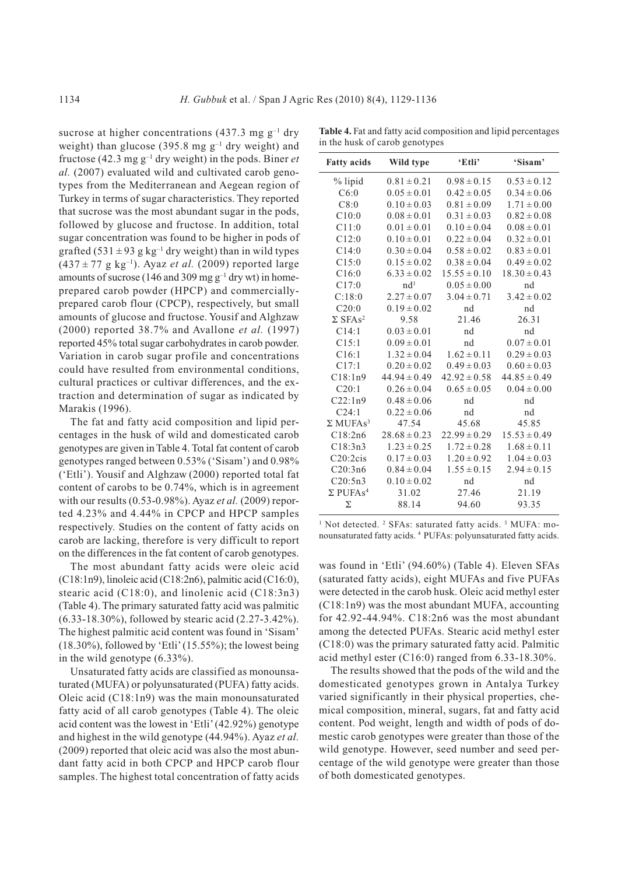$\overline{a}$ 

sucrose at higher concentrations (437.3 mg  $g^{-1}$  dry weight) than glucose (395.8 mg  $g^{-1}$  dry weight) and fructose (42.3 mg  $g^{-1}$  dry weight) in the pods. Biner *et al.* (2007) evaluated wild and cultivated carob genotypes from the Mediterranean and Aegean region of Turkey in terms of sugar characteristics. They reported that sucrose was the most abundant sugar in the pods, followed by glucose and fructose. In addition, total sugar concentration was found to be higher in pods of grafted (531  $\pm$  93 g kg<sup>-1</sup> dry weight) than in wild types  $(437 \pm 77 \text{ g kg}^{-1})$ . Ayaz *et al.* (2009) reported large amounts of sucrose (146 and 309 mg  $g^{-1}$  dry wt) in homeprepared carob powder (HPCP) and commerciallyprepared carob flour (CPCP), respectively, but small amounts of glucose and fructose. Yousif and Alghzaw (2000) reported 38.7% and Avallone *et al.* (1997) reported 45% total sugar carbohydrates in carob powder. Variation in carob sugar profile and concentrations could have resulted from environmental conditions, cultural practices or cultivar differences, and the extraction and determination of sugar as indicated by Marakis (1996).

The fat and fatty acid composition and lipid percentages in the husk of wild and domesticated carob genotypes are given in Table 4. Total fat content of carob genotypes ranged between 0.53% ('Sisam') and 0.98% ('Etli'). Yousif and Alghzaw (2000) reported total fat content of carobs to be 0.74%, which is in agreement with our results (0.53-0.98%). Ayaz *et al.* (2009) reported 4.23% and 4.44% in CPCP and HPCP samples respectively. Studies on the content of fatty acids on carob are lacking, therefore is very difficult to report on the differences in the fat content of carob genotypes.

The most abundant fatty acids were oleic acid  $(C18:1n9)$ , linoleic acid  $(C18:2n6)$ , palmitic acid  $(C16:0)$ , stearic acid (C18:0), and linolenic acid (C18:3n3) (Table 4). The primary saturated fatty acid was palmitic (6.33-18.30%), followed by stearic acid (2.27-3.42%). The highest palmitic acid content was found in 'Sisam' (18.30%), followed by 'Etli' (15.55%); the lowest being in the wild genotype (6.33%).

Unsaturated fatty acids are classified as monounsaturated (MUFA) or polyunsaturated (PUFA) fatty acids. Oleic acid (C18:1n9) was the main monounsaturated fatty acid of all carob genotypes (Table 4). The oleic acid content was the lowest in 'Etli' (42.92%) genotype and highest in the wild genotype (44.94%). Ayaz *et al.* (2009) reported that oleic acid was also the most abundant fatty acid in both CPCP and HPCP carob flour samples. The highest total concentration of fatty acids

**Table 4.** Fat and fatty acid composition and lipid percentages in the husk of carob genotypes

| <b>Fatty</b> acids          | Wild type        | 'Etli'           | 'Sisam'          |
|-----------------------------|------------------|------------------|------------------|
| % lipid                     | $0.81 \pm 0.21$  | $0.98 \pm 0.15$  | $0.53 \pm 0.12$  |
| C6:0                        | $0.05 \pm 0.01$  | $0.42 \pm 0.05$  | $0.34 \pm 0.06$  |
| C8:0                        | $0.10 \pm 0.03$  | $0.81 \pm 0.09$  | $1.71 \pm 0.00$  |
| C10:0                       | $0.08 \pm 0.01$  | $0.31 \pm 0.03$  | $0.82 \pm 0.08$  |
| C11:0                       | $0.01 \pm 0.01$  | $0.10 \pm 0.04$  | $0.08 \pm 0.01$  |
| C12:0                       | $0.10 \pm 0.01$  | $0.22 \pm 0.04$  | $0.32 \pm 0.01$  |
| C14:0                       | $0.30 \pm 0.04$  | $0.58 \pm 0.02$  | $0.83 \pm 0.01$  |
| C15:0                       | $0.15 \pm 0.02$  | $0.38 \pm 0.04$  | $0.49 \pm 0.02$  |
| C16:0                       | $6.33 \pm 0.02$  | $15.55 \pm 0.10$ | $18.30 \pm 0.43$ |
| C17:0                       | nd <sup>1</sup>  | $0.05 \pm 0.00$  | nd               |
| C:18:0                      | $2.27 \pm 0.07$  | $3.04 \pm 0.71$  | $3.42 \pm 0.02$  |
| C20:0                       | $0.19 \pm 0.02$  | nd               | nd               |
| $\Sigma$ SFAs <sup>2</sup>  | 9.58             | 21.46            | 26.31            |
| C14:1                       | $0.03 \pm 0.01$  | nd               | nd               |
| C15:1                       | $0.09 \pm 0.01$  | nd               | $0.07 \pm 0.01$  |
| C16:1                       | $1.32 \pm 0.04$  | $1.62 \pm 0.11$  | $0.29 \pm 0.03$  |
| C17:1                       | $0.20 \pm 0.02$  | $0.49 \pm 0.03$  | $0.60 \pm 0.03$  |
| C18:1n9                     | $44.94 \pm 0.49$ | $42.92 \pm 0.58$ | $44.85 \pm 0.49$ |
| C20:1                       | $0.26 \pm 0.04$  | $0.65 \pm 0.05$  | $0.04 \pm 0.00$  |
| C22:1n9                     | $0.48 \pm 0.06$  | nd               | nd               |
| C24:1                       | $0.22 \pm 0.06$  | nd               | nd               |
| $\Sigma$ MUFAs <sup>3</sup> | 47.54            | 45.68            | 45.85            |
| C18:2n6                     | $28.68 \pm 0.23$ | $22.99 \pm 0.29$ | $15.53 \pm 0.49$ |
| C18:3n3                     | $1.23 \pm 0.25$  | $1.72 \pm 0.28$  | $1.68 \pm 0.11$  |
| C20:2cis                    | $0.17 \pm 0.03$  | $1.20 \pm 0.92$  | $1.04 \pm 0.03$  |
| C20:3n6                     | $0.84 \pm 0.04$  | $1.55 \pm 0.15$  | $2.94 \pm 0.15$  |
| C20:5n3                     | $0.10 \pm 0.02$  | nd               | nd               |
| $\Sigma$ PUFAs <sup>4</sup> | 31.02            | 27.46            | 21.19            |
| Σ                           | 88.14            | 94.60            | 93.35            |

<sup>1</sup> Not detected. <sup>2</sup> SFAs: saturated fatty acids. <sup>3</sup> MUFA: monounsaturated fatty acids. 4 PUFAs: polyunsaturated fatty acids.

was found in 'Etli' (94.60%) (Table 4). Eleven SFAs (saturated fatty acids), eight MUFAs and five PUFAs were detected in the carob husk. Oleic acid methyl ester (C18:1n9) was the most abundant MUFA, accounting for 42.92-44.94%. C18:2n6 was the most abundant among the detected PUFAs. Stearic acid methyl ester (C18:0) was the primary saturated fatty acid. Palmitic acid methyl ester (C16:0) ranged from 6.33-18.30%.

The results showed that the pods of the wild and the domesticated genotypes grown in Antalya Turkey varied significantly in their physical properties, chemical composition, mineral, sugars, fat and fatty acid content. Pod weight, length and width of pods of domestic carob genotypes were greater than those of the wild genotype. However, seed number and seed percentage of the wild genotype were greater than those of both domesticated genotypes.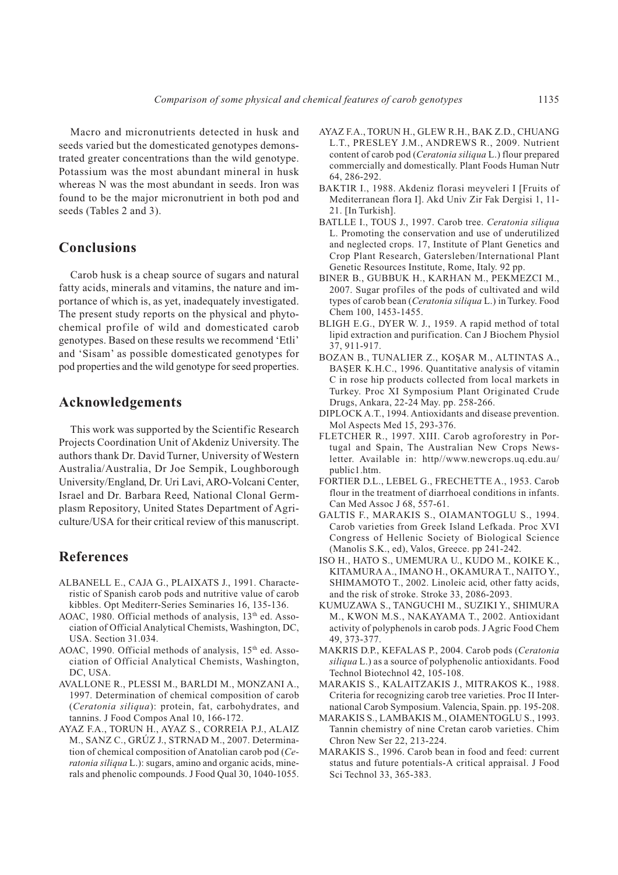Macro and micronutrients detected in husk and seeds varied but the domesticated genotypes demonstrated greater concentrations than the wild genotype. Potassium was the most abundant mineral in husk whereas N was the most abundant in seeds. Iron was found to be the major micronutrient in both pod and seeds (Tables 2 and 3).

# **Conclusions**

Carob husk is a cheap source of sugars and natural fatty acids, minerals and vitamins, the nature and importance of which is, as yet, inadequately investigated. The present study reports on the physical and phytochemical profile of wild and domesticated carob genotypes. Based on these results we recommend 'Etli' and 'Sisam' as possible domesticated genotypes for pod properties and the wild genotype for seed properties.

## **Acknowledgements**

This work was supported by the Scientific Research Projects Coordination Unit of Akdeniz University. The authors thank Dr. David Turner, University of Western Australia/Australia, Dr Joe Sempik, Loughborough University/England, Dr. Uri Lavi, ARO-Volcani Center, Israel and Dr. Barbara Reed, National Clonal Germplasm Repository, United States Department of Agriculture/USA for their critical review of this manuscript.

## **References**

- ALBANELL E., CAJA G., PLAIXATS J., 1991. Characteristic of Spanish carob pods and nutritive value of carob kibbles. Opt Mediterr-Series Seminaries 16, 135-136.
- AOAC, 1980. Official methods of analysis, 13<sup>th</sup> ed. Association of Official Analytical Chemists, Washington, DC, USA. Section 31.034.
- AOAC, 1990. Official methods of analysis,  $15<sup>th</sup>$  ed. Association of Official Analytical Chemists, Washington, DC, USA.
- AVALLONE R., PLESSI M., BARLDI M., MONZANI A., 1997. Determination of chemical composition of carob (*Ceratonia siliqua*): protein, fat, carbohydrates, and tannins. J Food Compos Anal 10, 166-172.
- AYAZ F.A., TORUN H., AYAZ S., CORREIA P.J., ALAIZ M., SANZ C., GRÚZ J., STRNAD M., 2007. Determination of chemical composition of Anatolian carob pod (*Ceratonia siliqua* L.): sugars, amino and organic acids, minerals and phenolic compounds. J Food Qual 30, 1040-1055.
- AYAZ F.A., TORUN H., GLEW R.H., BAK Z.D., CHUANG L.T., PRESLEY J.M., ANDREWS R., 2009. Nutrient content of carob pod (*Ceratonia siliqua* L.) flour prepared commercially and domestically. Plant Foods Human Nutr 64, 286-292.
- BAKTIR I., 1988. Akdeniz florasi meyveleri I [Fruits of Mediterranean flora I]. Akd Univ Zir Fak Dergisi 1, 11- 21. [In Turkish].
- BATLLE I., TOUS J., 1997. Carob tree. *Ceratonia siliqua* L. Promoting the conservation and use of underutilized and neglected crops. 17, Institute of Plant Genetics and Crop Plant Research, Gatersleben/International Plant Genetic Resources Institute, Rome, Italy. 92 pp.
- BINER B., GUBBUK H., KARHAN M., PEKMEZCI M., 2007. Sugar profiles of the pods of cultivated and wild types of carob bean (*Ceratonia siliqua* L.) in Turkey. Food Chem 100, 1453-1455.
- BLIGH E.G., DYER W. J., 1959. A rapid method of total lipid extraction and purification. Can J Biochem Physiol 37, 911-917.
- BOZAN B., TUNALIER Z., KOS¸AR M., ALTINTAS A., BAŞER K.H.C., 1996. Quantitative analysis of vitamin C in rose hip products collected from local markets in Turkey. Proc XI Symposium Plant Originated Crude Drugs, Ankara, 22-24 May. pp. 258-266.
- DIPLOCK A.T., 1994. Antioxidants and disease prevention. Mol Aspects Med 15, 293-376.
- FLETCHER R., 1997. XIII. Carob agroforestry in Portugal and Spain, The Australian New Crops Newsletter. Available in: http//www.newcrops.uq.edu.au/ public1.htm.
- FORTIER D.L., LEBEL G., FRECHETTE A., 1953. Carob flour in the treatment of diarrhoeal conditions in infants. Can Med Assoc J 68, 557-61.
- GALTIS F., MARAKIS S., OIAMANTOGLU S., 1994. Carob varieties from Greek Island Lefkada. Proc XVI Congress of Hellenic Society of Biological Science (Manolis S.K., ed), Valos, Greece. pp 241-242.
- ISO H., HATO S., UMEMURA U., KUDO M., KOIKE K., KITAMURA A., IMANO H., OKAMURA T., NAITO Y., SHIMAMOTO T., 2002. Linoleic acid, other fatty acids, and the risk of stroke. Stroke 33, 2086-2093.
- KUMUZAWA S., TANGUCHI M., SUZIKI Y., SHIMURA M., KWON M.S., NAKAYAMA T., 2002. Antioxidant activity of polyphenols in carob pods. J Agric Food Chem 49, 373-377.
- MAKRIS D.P., KEFALAS P., 2004. Carob pods (*Ceratonia siliqua* L.) as a source of polyphenolic antioxidants. Food Technol Biotechnol 42, 105-108.
- MARAKIS S., KALAITZAKIS J., MITRAKOS K., 1988. Criteria for recognizing carob tree varieties. Proc II International Carob Symposium. Valencia, Spain. pp. 195-208.
- MARAKIS S., LAMBAKIS M., OIAMENTOGLU S., 1993. Tannin chemistry of nine Cretan carob varieties. Chim Chron New Ser 22, 213-224.
- MARAKIS S., 1996. Carob bean in food and feed: current status and future potentials-A critical appraisal. J Food Sci Technol 33, 365-383.